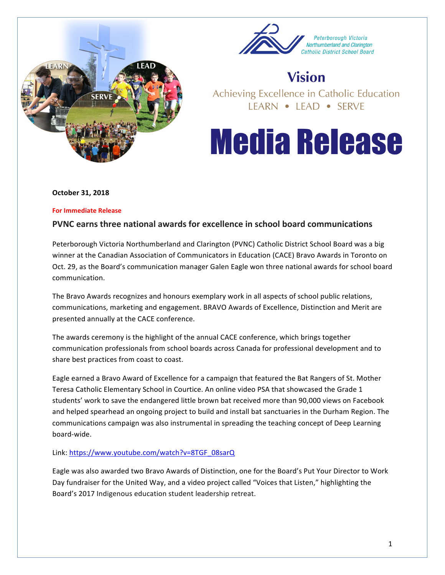



## **Vision**

Achieving Excellence in Catholic Education LEARN • LEAD • SERVE

# **Media Release**

#### **October 31, 2018**

#### **For Immediate Release**

### **PVNC** earns three national awards for excellence in school board communications

Peterborough Victoria Northumberland and Clarington (PVNC) Catholic District School Board was a big winner at the Canadian Association of Communicators in Education (CACE) Bravo Awards in Toronto on Oct. 29, as the Board's communication manager Galen Eagle won three national awards for school board communication.

The Bravo Awards recognizes and honours exemplary work in all aspects of school public relations, communications, marketing and engagement. BRAVO Awards of Excellence, Distinction and Merit are presented annually at the CACE conference.

The awards ceremony is the highlight of the annual CACE conference, which brings together communication professionals from school boards across Canada for professional development and to share best practices from coast to coast.

Eagle earned a Bravo Award of Excellence for a campaign that featured the Bat Rangers of St. Mother Teresa Catholic Elementary School in Courtice. An online video PSA that showcased the Grade 1 students' work to save the endangered little brown bat received more than 90,000 views on Facebook and helped spearhead an ongoing project to build and install bat sanctuaries in the Durham Region. The communications campaign was also instrumental in spreading the teaching concept of Deep Learning board-wide. 

#### Link: https://www.youtube.com/watch?v=8TGF\_08sarQ

Eagle was also awarded two Bravo Awards of Distinction, one for the Board's Put Your Director to Work Day fundraiser for the United Way, and a video project called "Voices that Listen," highlighting the Board's 2017 Indigenous education student leadership retreat.